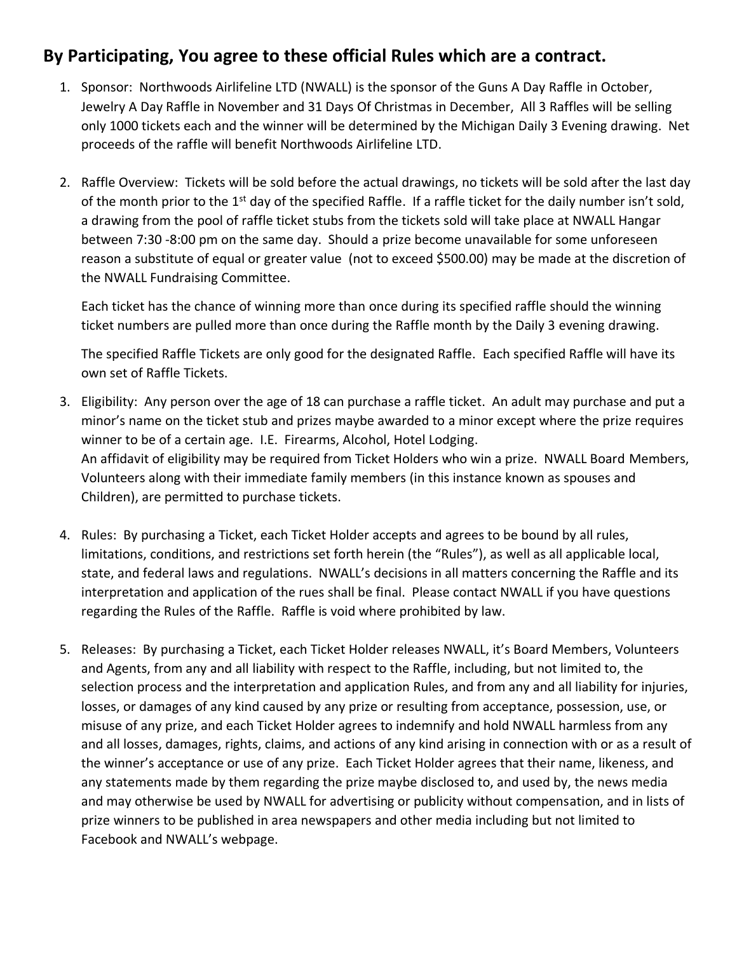## **By Participating, You agree to these official Rules which are a contract.**

- 1. Sponsor: Northwoods Airlifeline LTD (NWALL) is the sponsor of the Guns A Day Raffle in October, Jewelry A Day Raffle in November and 31 Days Of Christmas in December, All 3 Raffles will be selling only 1000 tickets each and the winner will be determined by the Michigan Daily 3 Evening drawing. Net proceeds of the raffle will benefit Northwoods Airlifeline LTD.
- 2. Raffle Overview: Tickets will be sold before the actual drawings, no tickets will be sold after the last day of the month prior to the 1<sup>st</sup> day of the specified Raffle. If a raffle ticket for the daily number isn't sold, a drawing from the pool of raffle ticket stubs from the tickets sold will take place at NWALL Hangar between 7:30 -8:00 pm on the same day. Should a prize become unavailable for some unforeseen reason a substitute of equal or greater value (not to exceed \$500.00) may be made at the discretion of the NWALL Fundraising Committee.

Each ticket has the chance of winning more than once during its specified raffle should the winning ticket numbers are pulled more than once during the Raffle month by the Daily 3 evening drawing.

The specified Raffle Tickets are only good for the designated Raffle. Each specified Raffle will have its own set of Raffle Tickets.

- 3. Eligibility: Any person over the age of 18 can purchase a raffle ticket. An adult may purchase and put a minor's name on the ticket stub and prizes maybe awarded to a minor except where the prize requires winner to be of a certain age. I.E. Firearms, Alcohol, Hotel Lodging. An affidavit of eligibility may be required from Ticket Holders who win a prize. NWALL Board Members, Volunteers along with their immediate family members (in this instance known as spouses and Children), are permitted to purchase tickets.
- 4. Rules: By purchasing a Ticket, each Ticket Holder accepts and agrees to be bound by all rules, limitations, conditions, and restrictions set forth herein (the "Rules"), as well as all applicable local, state, and federal laws and regulations. NWALL's decisions in all matters concerning the Raffle and its interpretation and application of the rues shall be final. Please contact NWALL if you have questions regarding the Rules of the Raffle. Raffle is void where prohibited by law.
- 5. Releases: By purchasing a Ticket, each Ticket Holder releases NWALL, it's Board Members, Volunteers and Agents, from any and all liability with respect to the Raffle, including, but not limited to, the selection process and the interpretation and application Rules, and from any and all liability for injuries, losses, or damages of any kind caused by any prize or resulting from acceptance, possession, use, or misuse of any prize, and each Ticket Holder agrees to indemnify and hold NWALL harmless from any and all losses, damages, rights, claims, and actions of any kind arising in connection with or as a result of the winner's acceptance or use of any prize. Each Ticket Holder agrees that their name, likeness, and any statements made by them regarding the prize maybe disclosed to, and used by, the news media and may otherwise be used by NWALL for advertising or publicity without compensation, and in lists of prize winners to be published in area newspapers and other media including but not limited to Facebook and NWALL's webpage.